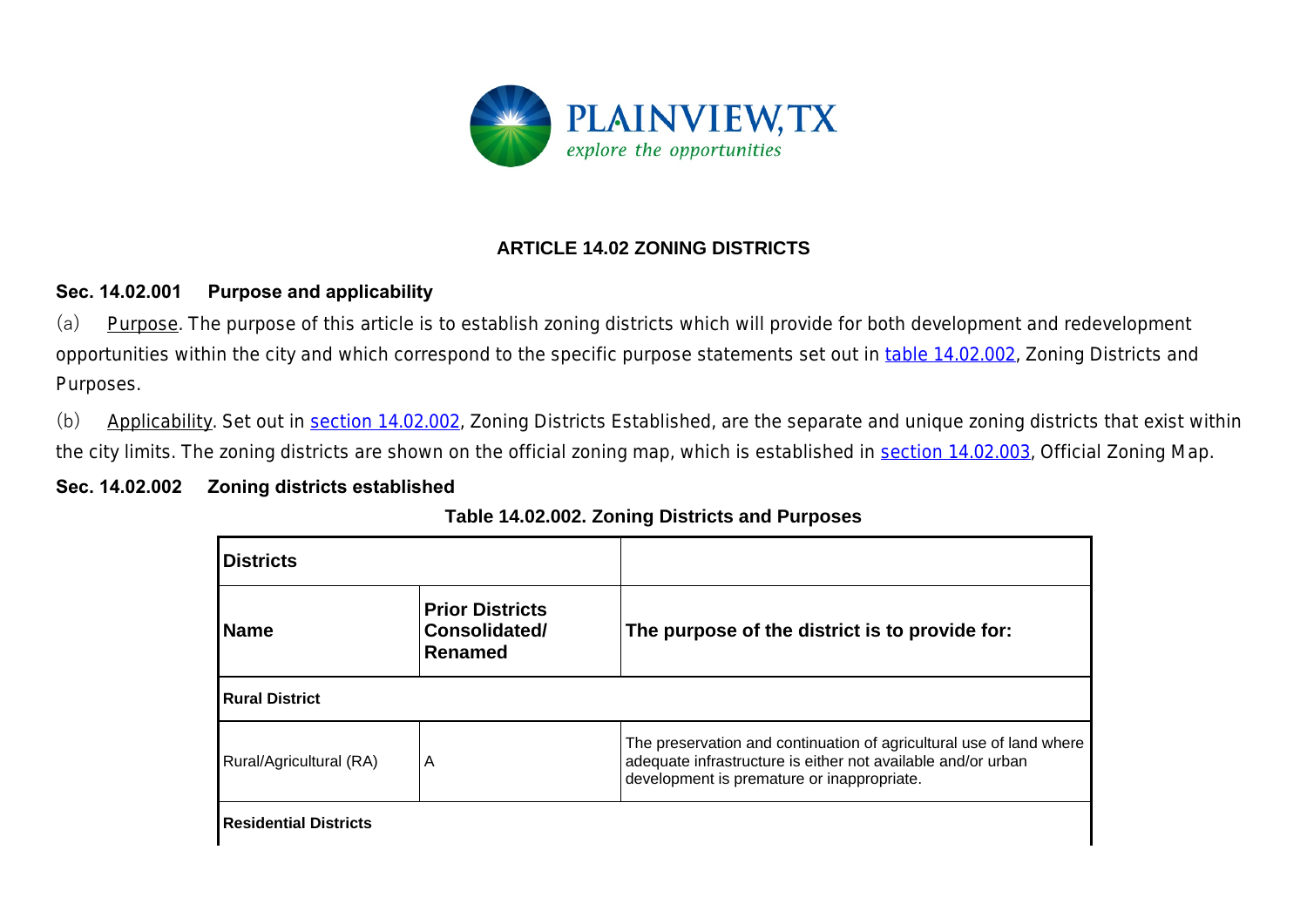

# **ARTICLE 14.02 ZONING DISTRICTS**

## **Sec. 14.02.001 Purpose and applicability**

(a) Purpose. The purpose of this article is to establish zoning districts which will provide for both development and redevelopment opportunities within the city and which correspond to the specific purpose statements set out in table 14.02.002, *Zoning Districts and Purposes*.

(b) Applicability. Set out in section 14.02.002, *Zoning Districts Established*, are the separate and unique zoning districts that exist within the city limits. The zoning districts are shown on the official zoning map, which is established in section 14.02.003, *Official Zoning Map*.

## **Sec. 14.02.002 Zoning districts established**

| Table 14.02.002. Zoning Districts and Purposes |
|------------------------------------------------|
|------------------------------------------------|

| <b>Districts</b>             |                                                    |                                                                                                                                                                                   |  |  |  |
|------------------------------|----------------------------------------------------|-----------------------------------------------------------------------------------------------------------------------------------------------------------------------------------|--|--|--|
| <b>Name</b>                  | <b>Prior Districts</b><br>Consolidated/<br>Renamed | The purpose of the district is to provide for:                                                                                                                                    |  |  |  |
| <b>Rural District</b>        |                                                    |                                                                                                                                                                                   |  |  |  |
| Rural/Agricultural (RA)      | A                                                  | The preservation and continuation of agricultural use of land where<br>adequate infrastructure is either not available and/or urban<br>development is premature or inappropriate. |  |  |  |
| <b>Residential Districts</b> |                                                    |                                                                                                                                                                                   |  |  |  |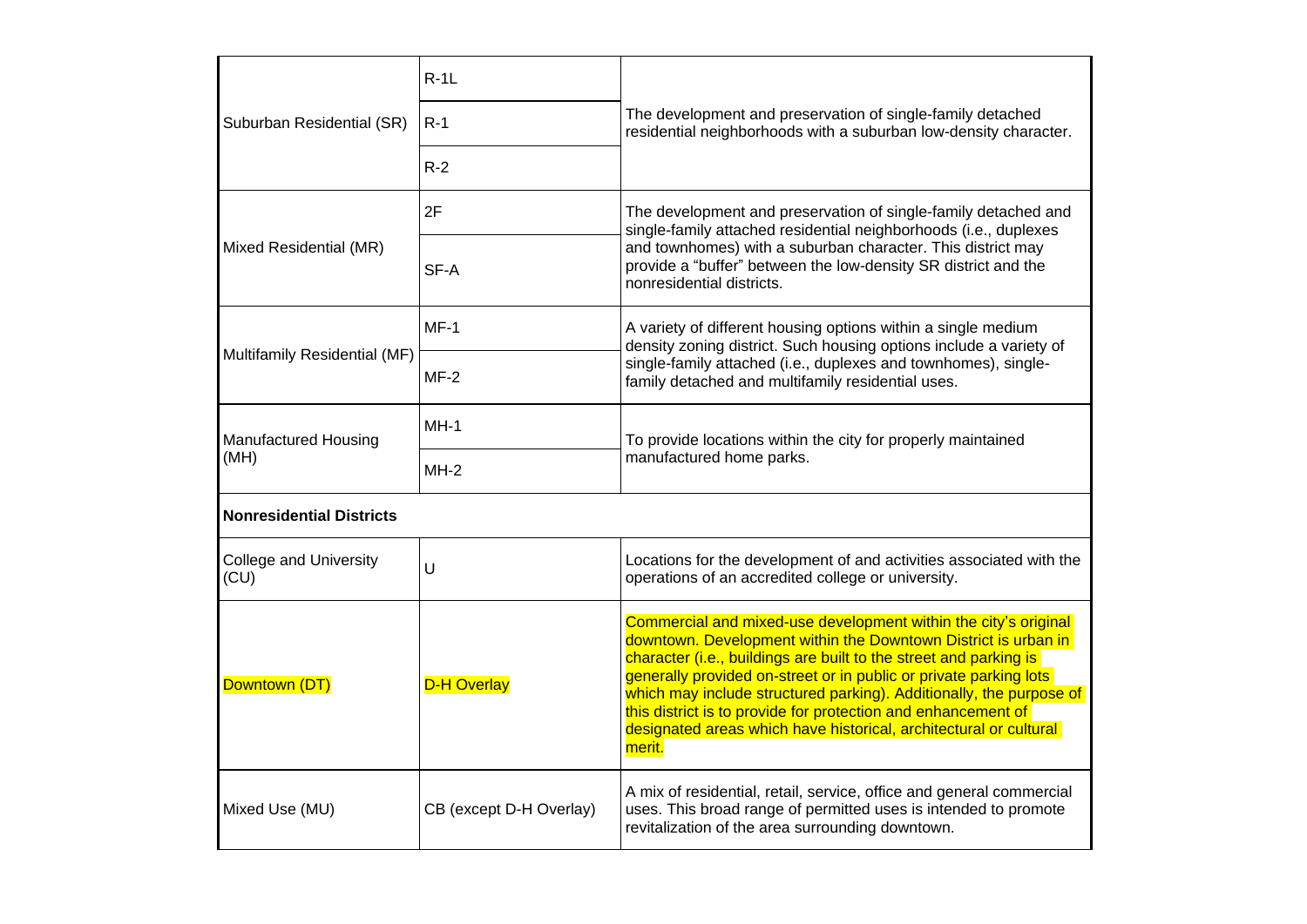| Suburban Residential (SR)             | $R-1L$                  | The development and preservation of single-family detached<br>residential neighborhoods with a suburban low-density character.                                                                                                                                                                                                                                                                                                                                                                     |  |  |  |
|---------------------------------------|-------------------------|----------------------------------------------------------------------------------------------------------------------------------------------------------------------------------------------------------------------------------------------------------------------------------------------------------------------------------------------------------------------------------------------------------------------------------------------------------------------------------------------------|--|--|--|
|                                       | $R-1$                   |                                                                                                                                                                                                                                                                                                                                                                                                                                                                                                    |  |  |  |
|                                       | $R-2$                   |                                                                                                                                                                                                                                                                                                                                                                                                                                                                                                    |  |  |  |
| Mixed Residential (MR)                | 2F                      | The development and preservation of single-family detached and<br>single-family attached residential neighborhoods (i.e., duplexes<br>and townhomes) with a suburban character. This district may<br>provide a "buffer" between the low-density SR district and the<br>nonresidential districts.                                                                                                                                                                                                   |  |  |  |
|                                       | SF-A                    |                                                                                                                                                                                                                                                                                                                                                                                                                                                                                                    |  |  |  |
| Multifamily Residential (MF)          | $MF-1$                  | A variety of different housing options within a single medium<br>density zoning district. Such housing options include a variety of<br>single-family attached (i.e., duplexes and townhomes), single-<br>family detached and multifamily residential uses.                                                                                                                                                                                                                                         |  |  |  |
|                                       | $MF-2$                  |                                                                                                                                                                                                                                                                                                                                                                                                                                                                                                    |  |  |  |
| <b>Manufactured Housing</b><br>(MH)   | $MH-1$                  | To provide locations within the city for properly maintained<br>manufactured home parks.                                                                                                                                                                                                                                                                                                                                                                                                           |  |  |  |
|                                       | MH-2                    |                                                                                                                                                                                                                                                                                                                                                                                                                                                                                                    |  |  |  |
| <b>Nonresidential Districts</b>       |                         |                                                                                                                                                                                                                                                                                                                                                                                                                                                                                                    |  |  |  |
| <b>College and University</b><br>(CU) | U                       | Locations for the development of and activities associated with the<br>operations of an accredited college or university.                                                                                                                                                                                                                                                                                                                                                                          |  |  |  |
| Downtown (DT)                         | <b>D-H Overlay</b>      | Commercial and mixed-use development within the city's original<br>downtown. Development within the Downtown District is urban in<br>character (i.e., buildings are built to the street and parking is<br>generally provided on-street or in public or private parking lots<br>which may include structured parking). Additionally, the purpose of<br>this district is to provide for protection and enhancement of<br>designated areas which have historical, architectural or cultural<br>merit. |  |  |  |
| Mixed Use (MU)                        | CB (except D-H Overlay) | A mix of residential, retail, service, office and general commercial<br>uses. This broad range of permitted uses is intended to promote<br>revitalization of the area surrounding downtown.                                                                                                                                                                                                                                                                                                        |  |  |  |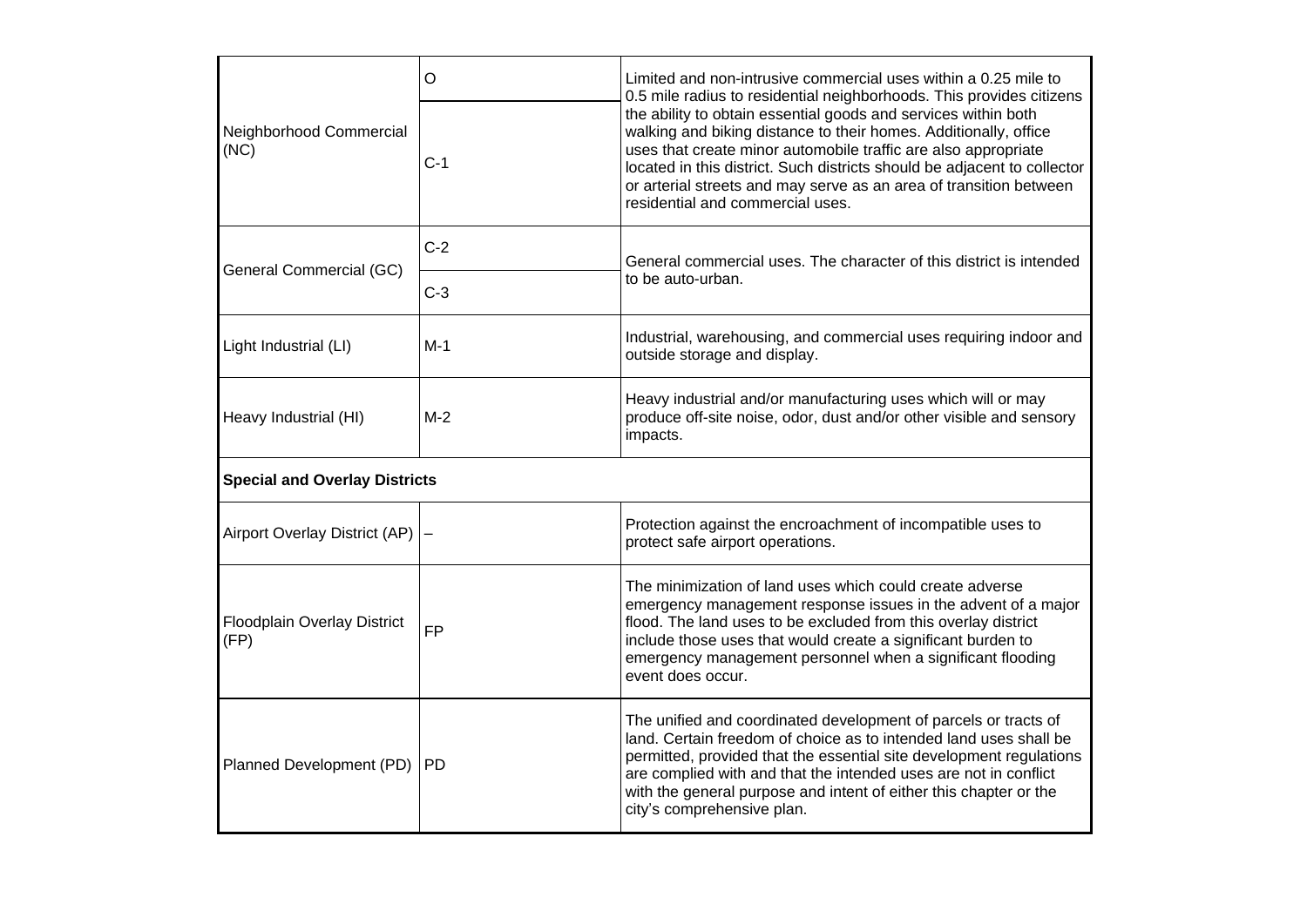| Neighborhood Commercial<br>(NC)      | $\circ$<br>$C-1$  | Limited and non-intrusive commercial uses within a 0.25 mile to<br>0.5 mile radius to residential neighborhoods. This provides citizens<br>the ability to obtain essential goods and services within both<br>walking and biking distance to their homes. Additionally, office<br>uses that create minor automobile traffic are also appropriate<br>located in this district. Such districts should be adjacent to collector<br>or arterial streets and may serve as an area of transition between<br>residential and commercial uses. |  |  |  |
|--------------------------------------|-------------------|---------------------------------------------------------------------------------------------------------------------------------------------------------------------------------------------------------------------------------------------------------------------------------------------------------------------------------------------------------------------------------------------------------------------------------------------------------------------------------------------------------------------------------------|--|--|--|
| General Commercial (GC)              | $C-2$             | General commercial uses. The character of this district is intended<br>to be auto-urban.                                                                                                                                                                                                                                                                                                                                                                                                                                              |  |  |  |
|                                      | $C-3$             |                                                                                                                                                                                                                                                                                                                                                                                                                                                                                                                                       |  |  |  |
| Light Industrial (LI)                | $M-1$             | Industrial, warehousing, and commercial uses requiring indoor and<br>outside storage and display.                                                                                                                                                                                                                                                                                                                                                                                                                                     |  |  |  |
| Heavy Industrial (HI)                | $M-2$             | Heavy industrial and/or manufacturing uses which will or may<br>produce off-site noise, odor, dust and/or other visible and sensory<br>impacts.                                                                                                                                                                                                                                                                                                                                                                                       |  |  |  |
| <b>Special and Overlay Districts</b> |                   |                                                                                                                                                                                                                                                                                                                                                                                                                                                                                                                                       |  |  |  |
| Airport Overlay District (AP)        | $\qquad \qquad -$ | Protection against the encroachment of incompatible uses to<br>protect safe airport operations.                                                                                                                                                                                                                                                                                                                                                                                                                                       |  |  |  |
| Floodplain Overlay District<br>(FP)  | <b>FP</b>         | The minimization of land uses which could create adverse<br>emergency management response issues in the advent of a major<br>flood. The land uses to be excluded from this overlay district<br>include those uses that would create a significant burden to<br>emergency management personnel when a significant flooding<br>event does occur.                                                                                                                                                                                        |  |  |  |
| Planned Development (PD)             | <b>PD</b>         | The unified and coordinated development of parcels or tracts of<br>land. Certain freedom of choice as to intended land uses shall be<br>permitted, provided that the essential site development regulations<br>are complied with and that the intended uses are not in conflict<br>with the general purpose and intent of either this chapter or the<br>city's comprehensive plan.                                                                                                                                                    |  |  |  |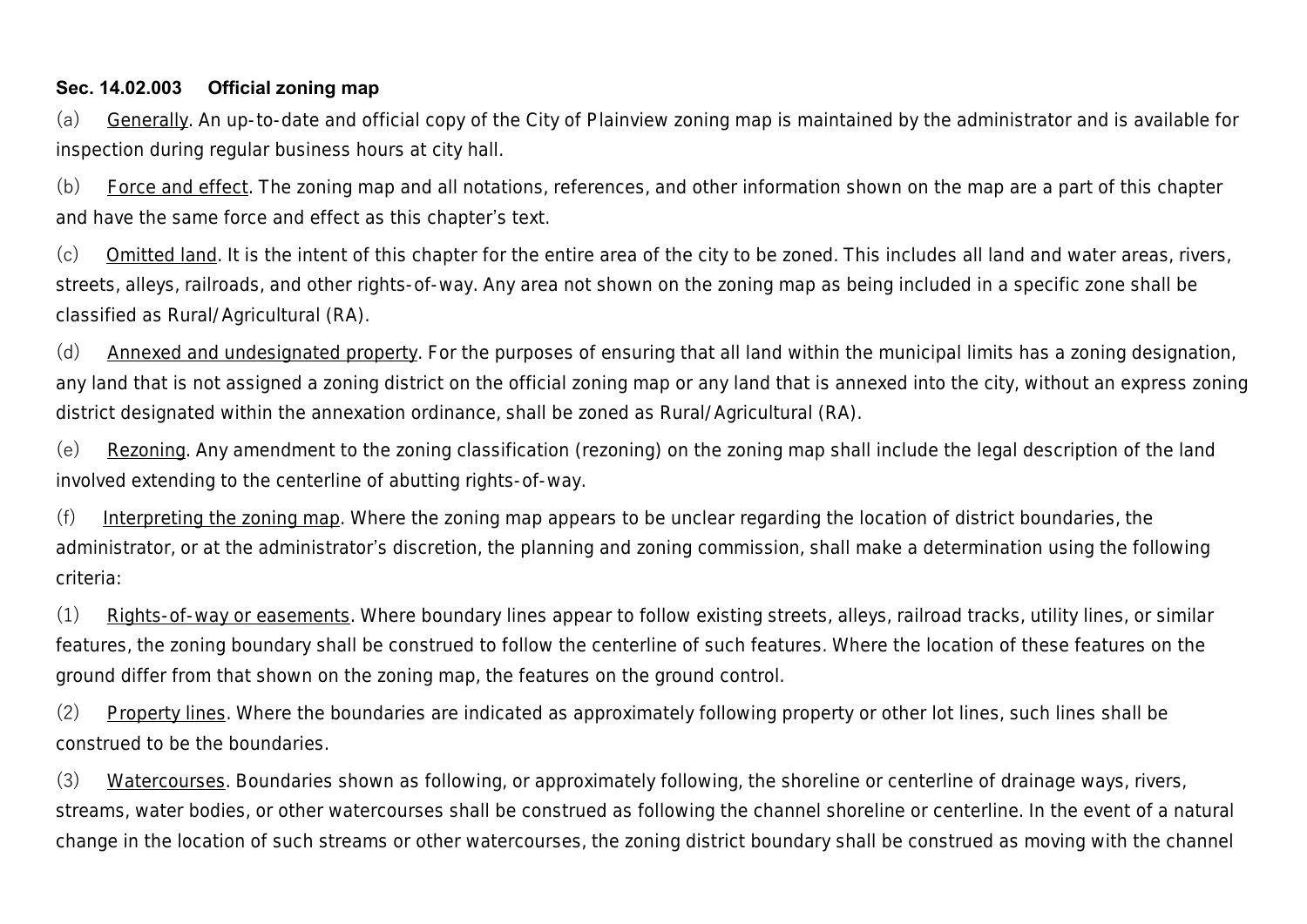#### **Sec. 14.02.003 Official zoning map**

(a) Generally. An up-to-date and official copy of the City of Plainview zoning map is maintained by the administrator and is available for inspection during regular business hours at city hall.

(b) Force and effect. The zoning map and all notations, references, and other information shown on the map are a part of this chapter and have the same force and effect as this chapter's text.

(c) Omitted land. It is the intent of this chapter for the entire area of the city to be zoned. This includes all land and water areas, rivers, streets, alleys, railroads, and other rights-of-way. Any area not shown on the zoning map as being included in a specific zone shall be classified as Rural/Agricultural (RA).

(d) Annexed and undesignated property. For the purposes of ensuring that all land within the municipal limits has a zoning designation, any land that is not assigned a zoning district on the official zoning map or any land that is annexed into the city, without an express zoning district designated within the annexation ordinance, shall be zoned as Rural/Agricultural (RA).

(e) Rezoning. Any amendment to the zoning classification (rezoning) on the zoning map shall include the legal description of the land involved extending to the centerline of abutting rights-of-way.

(f) Interpreting the zoning map. Where the zoning map appears to be unclear regarding the location of district boundaries, the administrator, or at the administrator's discretion, the planning and zoning commission, shall make a determination using the following criteria:

(1) Rights-of-way or easements. Where boundary lines appear to follow existing streets, alleys, railroad tracks, utility lines, or similar features, the zoning boundary shall be construed to follow the centerline of such features. Where the location of these features on the ground differ from that shown on the zoning map, the features on the ground control.

(2) Property lines. Where the boundaries are indicated as approximately following property or other lot lines, such lines shall be construed to be the boundaries.

(3) Watercourses. Boundaries shown as following, or approximately following, the shoreline or centerline of drainage ways, rivers, streams, water bodies, or other watercourses shall be construed as following the channel shoreline or centerline. In the event of a natural change in the location of such streams or other watercourses, the zoning district boundary shall be construed as moving with the channel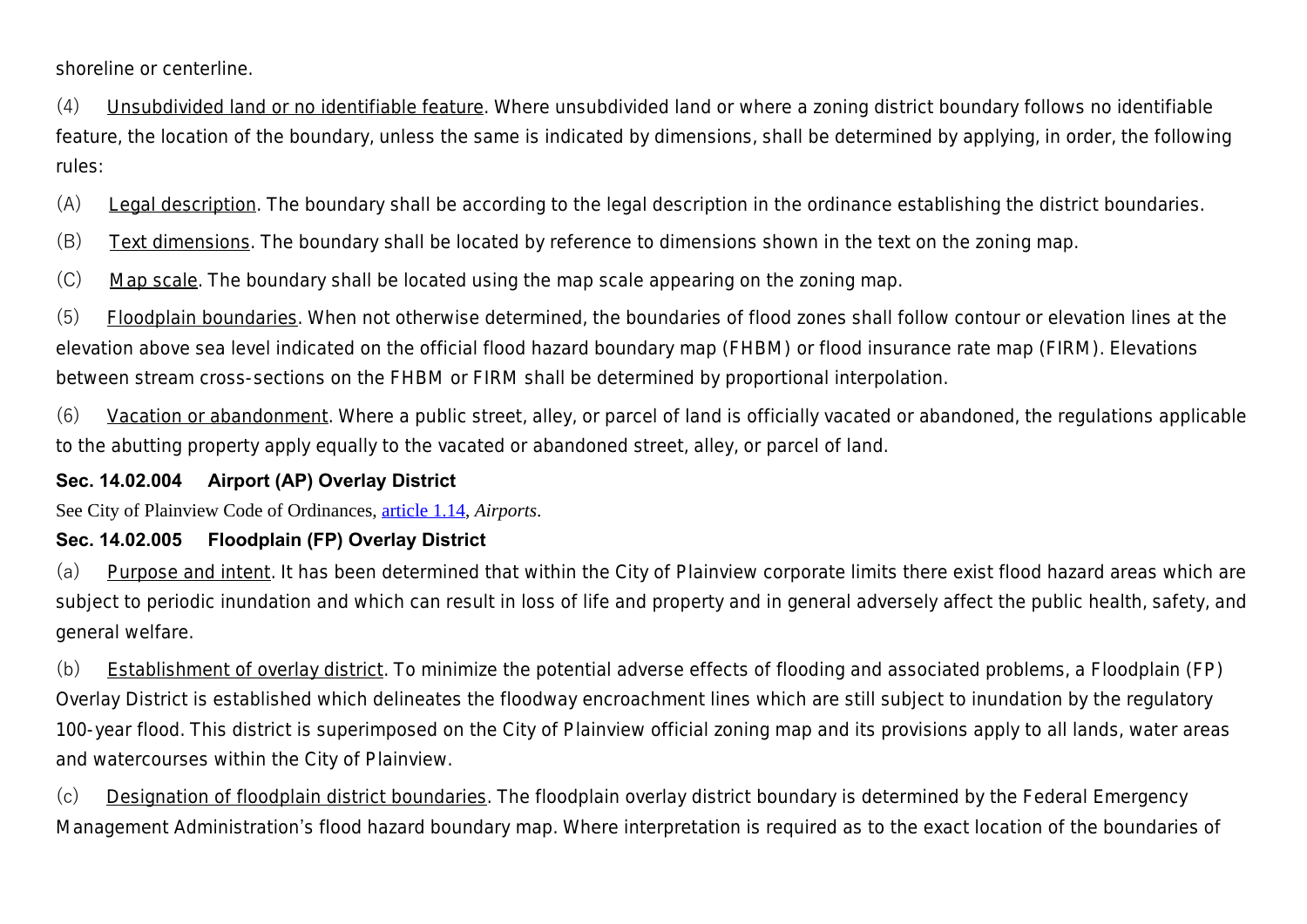shoreline or centerline.

(4) Unsubdivided land or no identifiable feature. Where unsubdivided land or where a zoning district boundary follows no identifiable feature, the location of the boundary, unless the same is indicated by dimensions, shall be determined by applying, in order, the following rules:

(A) Legal description. The boundary shall be according to the legal description in the ordinance establishing the district boundaries.

(B) Text dimensions. The boundary shall be located by reference to dimensions shown in the text on the zoning map.

(C) Map scale. The boundary shall be located using the map scale appearing on the zoning map.

(5) Floodplain boundaries. When not otherwise determined, the boundaries of flood zones shall follow contour or elevation lines at the elevation above sea level indicated on the official flood hazard boundary map (FHBM) or flood insurance rate map (FIRM). Elevations between stream cross-sections on the FHBM or FIRM shall be determined by proportional interpolation.

(6) Vacation or abandonment. Where a public street, alley, or parcel of land is officially vacated or abandoned, the regulations applicable to the abutting property apply equally to the vacated or abandoned street, alley, or parcel of land.

#### **Sec. 14.02.004 Airport (AP) Overlay District**

See City of Plainview Code of Ordinances, article 1.14, *Airports*.

### **Sec. 14.02.005 Floodplain (FP) Overlay District**

(a) Purpose and intent. It has been determined that within the City of Plainview corporate limits there exist flood hazard areas which are subject to periodic inundation and which can result in loss of life and property and in general adversely affect the public health, safety, and general welfare.

(b) Establishment of overlay district. To minimize the potential adverse effects of flooding and associated problems, a Floodplain (FP) Overlay District is established which delineates the floodway encroachment lines which are still subject to inundation by the regulatory 100-year flood. This district is superimposed on the City of Plainview official zoning map and its provisions apply to all lands, water areas and watercourses within the City of Plainview.

(c) Designation of floodplain district boundaries. The floodplain overlay district boundary is determined by the Federal Emergency Management Administration's flood hazard boundary map. Where interpretation is required as to the exact location of the boundaries of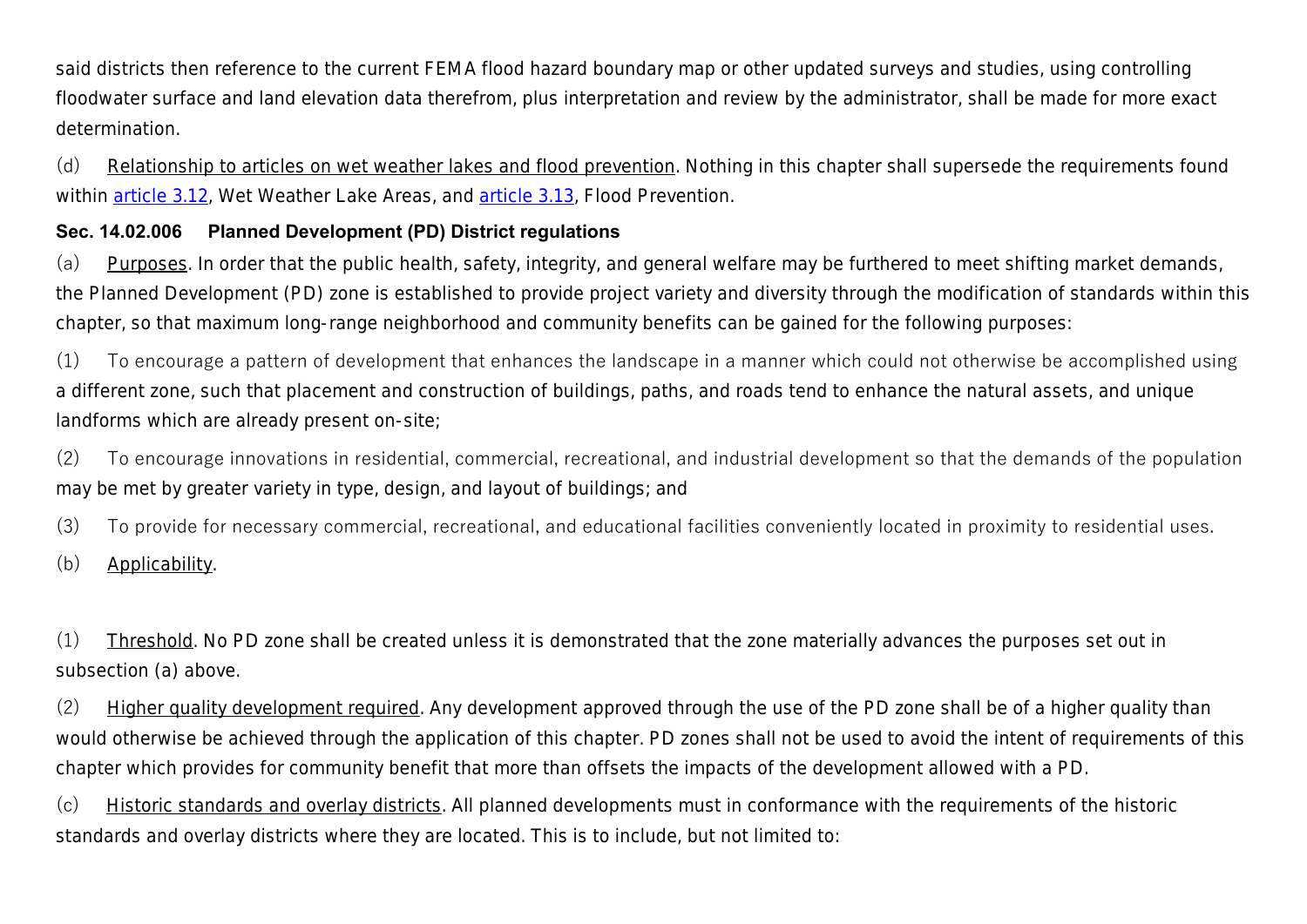said districts then reference to the current FEMA flood hazard boundary map or other updated surveys and studies, using controlling floodwater surface and land elevation data therefrom, plus interpretation and review by the administrator, shall be made for more exact determination.

(d) Relationship to articles on wet weather lakes and flood prevention. Nothing in this chapter shall supersede the requirements found within article 3.12, *Wet Weather Lake Areas*, and article 3.13, *Flood Prevention*.

## **Sec. 14.02.006 Planned Development (PD) District regulations**

(a) Purposes. In order that the public health, safety, integrity, and general welfare may be furthered to meet shifting market demands, the Planned Development (PD) zone is established to provide project variety and diversity through the modification of standards within this chapter, so that maximum long-range neighborhood and community benefits can be gained for the following purposes:

(1) To encourage a pattern of development that enhances the landscape in a manner which could not otherwise be accomplished using a different zone, such that placement and construction of buildings, paths, and roads tend to enhance the natural assets, and unique landforms which are already present on-site;

(2) To encourage innovations in residential, commercial, recreational, and industrial development so that the demands of the population may be met by greater variety in type, design, and layout of buildings; and

(3) To provide for necessary commercial, recreational, and educational facilities conveniently located in proximity to residential uses.

(b) Applicability.

(1) Threshold. No PD zone shall be created unless it is demonstrated that the zone materially advances the purposes set out in subsection (a) above.

(2) Higher quality development required. Any development approved through the use of the PD zone shall be of a higher quality than would otherwise be achieved through the application of this chapter. PD zones shall not be used to avoid the intent of requirements of this chapter which provides for community benefit that more than offsets the impacts of the development allowed with a PD.

(c) Historic standards and overlay districts. All planned developments must in conformance with the requirements of the historic standards and overlay districts where they are located. This is to include, but not limited to: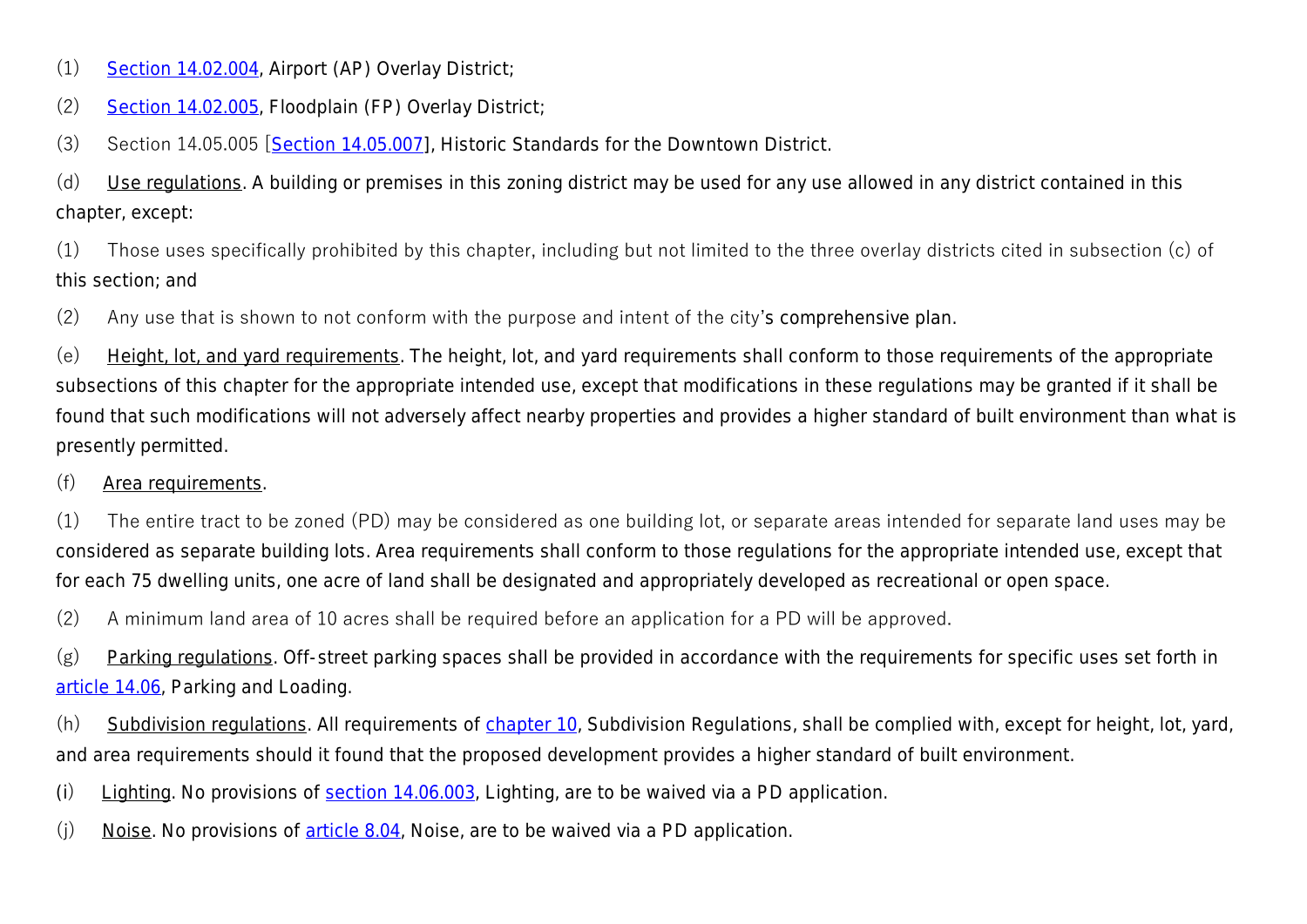- (1) Section 14.02.004, *Airport (AP) Overlay District*;
- (2) Section 14.02.005, *Floodplain (FP) Overlay District*;
- (3) Section 14.05.005 [Section 14.05.007], *Historic Standards for the Downtown District*.

(d) Use regulations. A building or premises in this zoning district may be used for any use allowed in any district contained in this chapter, except:

(1) Those uses specifically prohibited by this chapter, including but not limited to the three overlay districts cited in subsection (c) of this section; and

(2) Any use that is shown to not conform with the purpose and intent of the city's comprehensive plan.

(e) Height, lot, and yard requirements. The height, lot, and yard requirements shall conform to those requirements of the appropriate subsections of this chapter for the appropriate intended use, except that modifications in these regulations may be granted if it shall be found that such modifications will not adversely affect nearby properties and provides a higher standard of built environment than what is presently permitted.

#### (f) Area requirements.

(1) The entire tract to be zoned (PD) may be considered as one building lot, or separate areas intended for separate land uses may be considered as separate building lots. Area requirements shall conform to those regulations for the appropriate intended use, except that for each 75 dwelling units, one acre of land shall be designated and appropriately developed as recreational or open space.

(2) A minimum land area of 10 acres shall be required before an application for a PD will be approved.

(g) Parking regulations. Off-street parking spaces shall be provided in accordance with the requirements for specific uses set forth in article 14.06, *Parking and Loading*.

(h) Subdivision regulations. All requirements of chapter 10, *Subdivision Regulations*, shall be complied with, except for height, lot, yard, and area requirements should it found that the proposed development provides a higher standard of built environment.

- (i) Lighting. No provisions of section 14.06.003, *Lighting*, are to be waived via a PD application.
- (j) Noise. No provisions of article 8.04, *Noise*, are to be waived via a PD application.